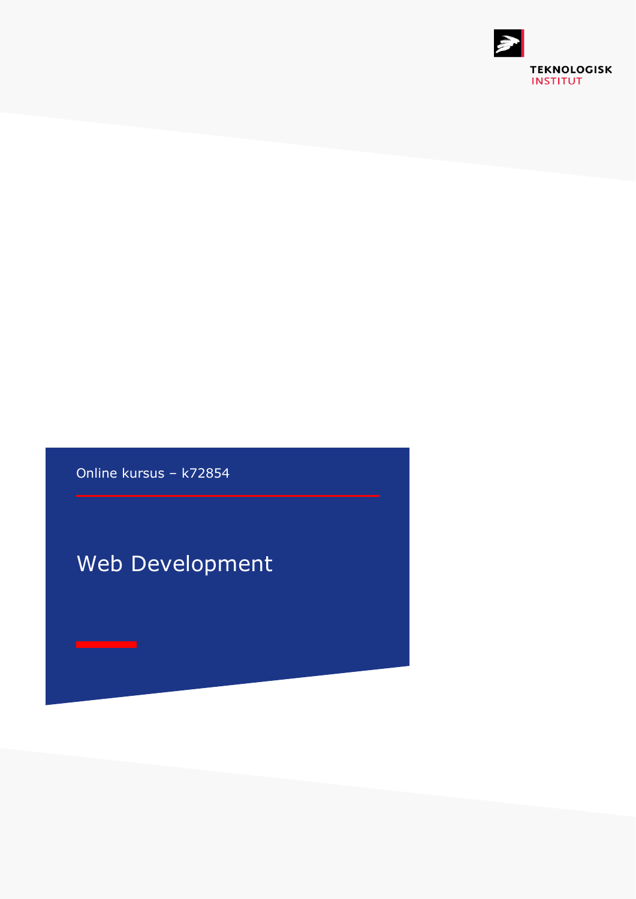

Online kursus – k72854

## Web Development